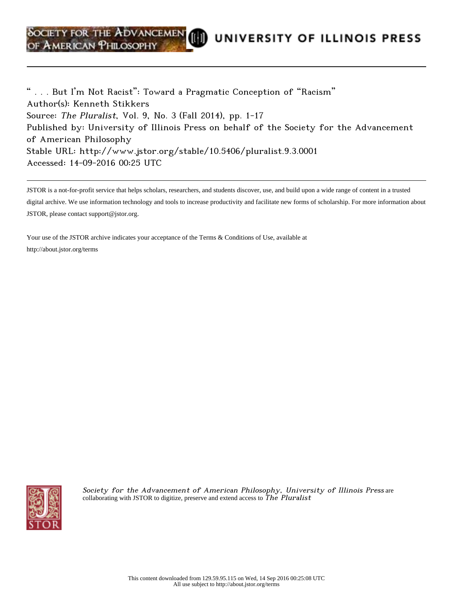# UNIVERSITY OF ILLINOIS PRESS

" . . . But I'm Not Racist": Toward a Pragmatic Conception of "Racism" Author(s): Kenneth Stikkers Source: The Pluralist, Vol. 9, No. 3 (Fall 2014), pp. 1-17 Published by: University of Illinois Press on behalf of the Society for the Advancement of American Philosophy Stable URL: http://www.jstor.org/stable/10.5406/pluralist.9.3.0001 Accessed: 14-09-2016 00:25 UTC

JSTOR is a not-for-profit service that helps scholars, researchers, and students discover, use, and build upon a wide range of content in a trusted digital archive. We use information technology and tools to increase productivity and facilitate new forms of scholarship. For more information about JSTOR, please contact support@jstor.org.

Your use of the JSTOR archive indicates your acceptance of the Terms & Conditions of Use, available at http://about.jstor.org/terms



Society for the Advancement of American Philosophy, University of Illinois Press are collaborating with JSTOR to digitize, preserve and extend access to The Pluralist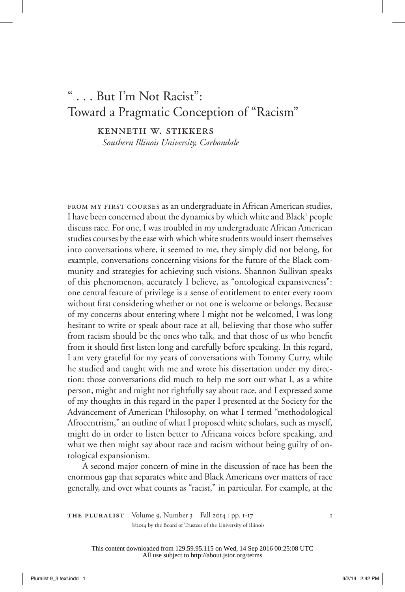## " . . . But I'm Not Racist": Toward a Pragmatic Conception of "Racism"

kenneth w. stikkers

*Southern Illinois University, Carbondale*

from my first courses as an undergraduate in African American studies, I have been concerned about the dynamics by which white and Black<sup>1</sup> people discuss race. For one, I was troubled in my undergraduate African American studies courses by the ease with which white students would insert themselves into conversations where, it seemed to me, they simply did not belong, for example, conversations concerning visions for the future of the Black community and strategies for achieving such visions. Shannon Sullivan speaks of this phenomenon, accurately I believe, as "ontological expansiveness": one central feature of privilege is a sense of entitlement to enter every room without first considering whether or not one is welcome or belongs. Because of my concerns about entering where I might not be welcomed, I was long hesitant to write or speak about race at all, believing that those who suffer from racism should be the ones who talk, and that those of us who benefit from it should first listen long and carefully before speaking. In this regard, I am very grateful for my years of conversations with Tommy Curry, while he studied and taught with me and wrote his dissertation under my direction: those conversations did much to help me sort out what I, as a white person, might and might not rightfully say about race, and I expressed some of my thoughts in this regard in the paper I presented at the Society for the Advancement of American Philosophy, on what I termed "methodological Afrocentrism," an outline of what I proposed white scholars, such as myself, might do in order to listen better to Africana voices before speaking, and what we then might say about race and racism without being guilty of ontological expansionism.

A second major concern of mine in the discussion of race has been the enormous gap that separates white and Black Americans over matters of race generally, and over what counts as "racist," in particular. For example, at the

**THE PLURALIST** Volume 9, Number 3 Fall 2014 : pp. 1-17 ©2014 by the Board of Trustees of the University of Illinois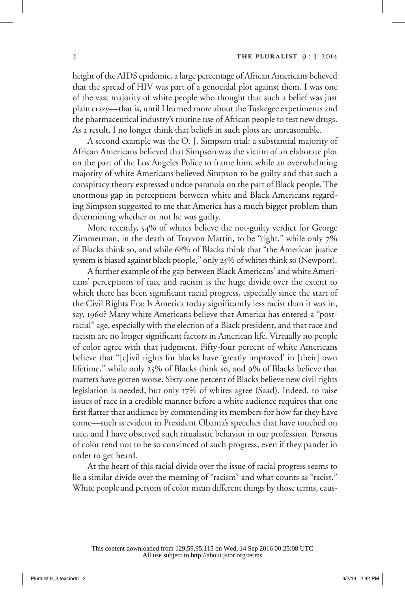height of the AIDS epidemic, a large percentage of African Americans believed that the spread of HIV was part of a genocidal plot against them. I was one of the vast majority of white people who thought that such a belief was just plain crazy—that is, until I learned more about the Tuskegee experiments and the pharmaceutical industry's routine use of African people to test new drugs. As a result, I no longer think that beliefs in such plots are unreasonable.

A second example was the O. J. Simpson trial: a substantial majority of African Americans believed that Simpson was the victim of an elaborate plot on the part of the Los Angeles Police to frame him, while an overwhelming majority of white Americans believed Simpson to be guilty and that such a conspiracy theory expressed undue paranoia on the part of Black people. The enormous gap in perceptions between white and Black Americans regarding Simpson suggested to me that America has a much bigger problem than determining whether or not he was guilty.

More recently, 54% of whites believe the not-guilty verdict for George Zimmerman, in the death of Trayvon Martin, to be "right," while only 7% of Blacks think so, and while 68% of Blacks think that "the American justice system is biased against black people," only 25% of whites think so (Newport).

A further example of the gap between Black Americans' and white Americans' perceptions of race and racism is the huge divide over the extent to which there has been significant racial progress, especially since the start of the Civil Rights Era: Is America today significantly less racist than it was in, say, 1960? Many white Americans believe that America has entered a "postracial" age, especially with the election of a Black president, and that race and racism are no longer significant factors in American life. Virtually no people of color agree with that judgment. Fifty-four percent of white Americans believe that "[c]ivil rights for blacks have 'greatly improved' in [their] own lifetime," while only 25% of Blacks think so, and 9% of Blacks believe that matters have gotten worse. Sixty-one percent of Blacks believe new civil rights legislation is needed, but only 17% of whites agree (Saad). Indeed, to raise issues of race in a credible manner before a white audience requires that one first flatter that audience by commending its members for how far they have come—such is evident in President Obama's speeches that have touched on race, and I have observed such ritualistic behavior in our profession. Persons of color tend not to be so convinced of such progress, even if they pander in order to get heard.

At the heart of this racial divide over the issue of racial progress seems to lie a similar divide over the meaning of "racism" and what counts as "racist." White people and persons of color mean different things by those terms, caus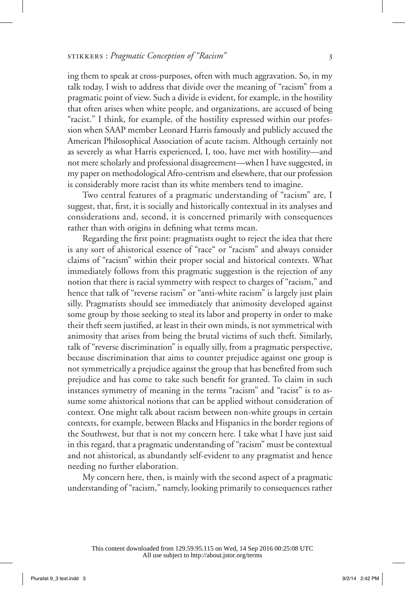ing them to speak at cross-purposes, often with much aggravation. So, in my talk today, I wish to address that divide over the meaning of "racism" from a pragmatic point of view. Such a divide is evident, for example, in the hostility that often arises when white people, and organizations, are accused of being "racist." I think, for example, of the hostility expressed within our profession when SAAP member Leonard Harris famously and publicly accused the American Philosophical Association of acute racism. Although certainly not as severely as what Harris experienced, I, too, have met with hostility—and not mere scholarly and professional disagreement—when I have suggested, in my paper on methodological Afro-centrism and elsewhere, that our profession is considerably more racist than its white members tend to imagine.

Two central features of a pragmatic understanding of "racism" are, I suggest, that, first, it is socially and historically contextual in its analyses and considerations and, second, it is concerned primarily with consequences rather than with origins in defining what terms mean.

Regarding the first point: pragmatists ought to reject the idea that there is any sort of ahistorical essence of "race" or "racism" and always consider claims of "racism" within their proper social and historical contexts. What immediately follows from this pragmatic suggestion is the rejection of any notion that there is racial symmetry with respect to charges of "racism," and hence that talk of "reverse racism" or "anti-white racism" is largely just plain silly. Pragmatists should see immediately that animosity developed against some group by those seeking to steal its labor and property in order to make their theft seem justified, at least in their own minds, is not symmetrical with animosity that arises from being the brutal victims of such theft. Similarly, talk of "reverse discrimination" is equally silly, from a pragmatic perspective, because discrimination that aims to counter prejudice against one group is not symmetrically a prejudice against the group that has benefited from such prejudice and has come to take such benefit for granted. To claim in such instances symmetry of meaning in the terms "racism" and "racist" is to assume some ahistorical notions that can be applied without consideration of context. One might talk about racism between non-white groups in certain contexts, for example, between Blacks and Hispanics in the border regions of the Southwest, but that is not my concern here. I take what I have just said in this regard, that a pragmatic understanding of "racism" must be contextual and not ahistorical, as abundantly self-evident to any pragmatist and hence needing no further elaboration.

My concern here, then, is mainly with the second aspect of a pragmatic understanding of "racism," namely, looking primarily to consequences rather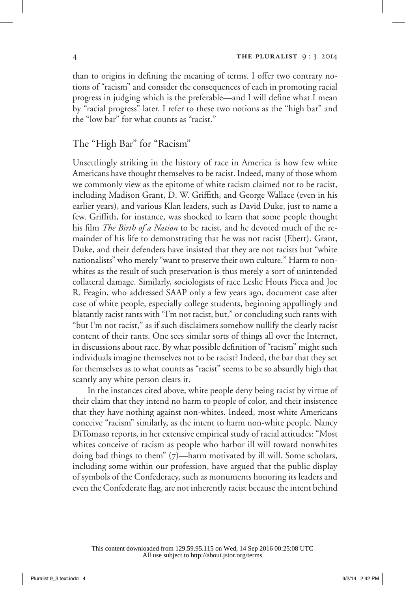than to origins in defining the meaning of terms. I offer two contrary notions of "racism" and consider the consequences of each in promoting racial progress in judging which is the preferable—and I will define what I mean by "racial progress" later. I refer to these two notions as the "high bar" and the "low bar" for what counts as "racist."

### The "High Bar" for "Racism"

Unsettlingly striking in the history of race in America is how few white Americans have thought themselves to be racist. Indeed, many of those whom we commonly view as the epitome of white racism claimed not to be racist, including Madison Grant, D. W. Griffith, and George Wallace (even in his earlier years), and various Klan leaders, such as David Duke, just to name a few. Griffith, for instance, was shocked to learn that some people thought his film *The Birth of a Nation* to be racist, and he devoted much of the remainder of his life to demonstrating that he was not racist (Ebert). Grant, Duke, and their defenders have insisted that they are not racists but "white nationalists" who merely "want to preserve their own culture." Harm to nonwhites as the result of such preservation is thus merely a sort of unintended collateral damage. Similarly, sociologists of race Leslie Houts Picca and Joe R. Feagin, who addressed SAAP only a few years ago, document case after case of white people, especially college students, beginning appallingly and blatantly racist rants with "I'm not racist, but," or concluding such rants with "but I'm not racist," as if such disclaimers somehow nullify the clearly racist content of their rants. One sees similar sorts of things all over the Internet, in discussions about race. By what possible definition of "racism" might such individuals imagine themselves not to be racist? Indeed, the bar that they set for themselves as to what counts as "racist" seems to be so absurdly high that scantly any white person clears it.

In the instances cited above, white people deny being racist by virtue of their claim that they intend no harm to people of color, and their insistence that they have nothing against non-whites. Indeed, most white Americans conceive "racism" similarly, as the intent to harm non-white people. Nancy DiTomaso reports, in her extensive empirical study of racial attitudes: "Most whites conceive of racism as people who harbor ill will toward nonwhites doing bad things to them" (7)—harm motivated by ill will. Some scholars, including some within our profession, have argued that the public display of symbols of the Confederacy, such as monuments honoring its leaders and even the Confederate flag, are not inherently racist because the intent behind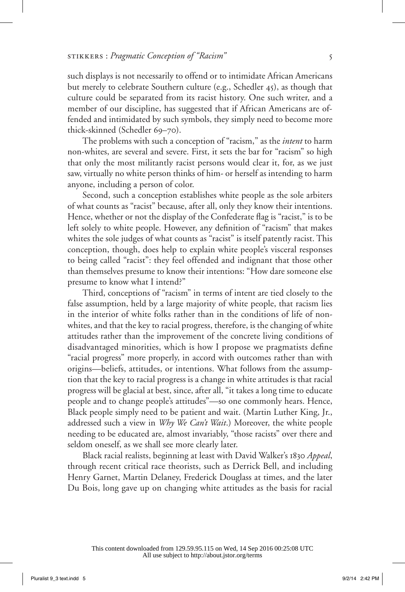such displays is not necessarily to offend or to intimidate African Americans but merely to celebrate Southern culture (e.g., Schedler 45), as though that culture could be separated from its racist history. One such writer, and a member of our discipline, has suggested that if African Americans are offended and intimidated by such symbols, they simply need to become more thick-skinned (Schedler 69–70).

The problems with such a conception of "racism," as the *intent* to harm non-whites, are several and severe. First, it sets the bar for "racism" so high that only the most militantly racist persons would clear it, for, as we just saw, virtually no white person thinks of him- or herself as intending to harm anyone, including a person of color.

Second, such a conception establishes white people as the sole arbiters of what counts as "racist" because, after all, only they know their intentions. Hence, whether or not the display of the Confederate flag is "racist," is to be left solely to white people. However, any definition of "racism" that makes whites the sole judges of what counts as "racist" is itself patently racist. This conception, though, does help to explain white people's visceral responses to being called "racist": they feel offended and indignant that those other than themselves presume to know their intentions: "How dare someone else presume to know what I intend?"

Third, conceptions of "racism" in terms of intent are tied closely to the false assumption, held by a large majority of white people, that racism lies in the interior of white folks rather than in the conditions of life of nonwhites, and that the key to racial progress, therefore, is the changing of white attitudes rather than the improvement of the concrete living conditions of disadvantaged minorities, which is how I propose we pragmatists define "racial progress" more properly, in accord with outcomes rather than with origins—beliefs, attitudes, or intentions. What follows from the assumption that the key to racial progress is a change in white attitudes is that racial progress will be glacial at best, since, after all, "it takes a long time to educate people and to change people's attitudes"—so one commonly hears. Hence, Black people simply need to be patient and wait. (Martin Luther King, Jr., addressed such a view in *Why We Can't Wait*.) Moreover, the white people needing to be educated are, almost invariably, "those racists" over there and seldom oneself, as we shall see more clearly later.

Black racial realists, beginning at least with David Walker's 1830 *Appeal*, through recent critical race theorists, such as Derrick Bell, and including Henry Garnet, Martin Delaney, Frederick Douglass at times, and the later Du Bois, long gave up on changing white attitudes as the basis for racial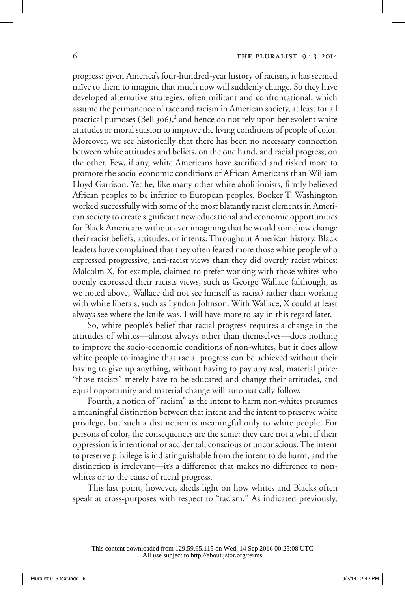progress: given America's four-hundred-year history of racism, it has seemed naïve to them to imagine that much now will suddenly change. So they have developed alternative strategies, often militant and confrontational, which assume the permanence of race and racism in American society, at least for all practical purposes (Bell 306),<sup>2</sup> and hence do not rely upon benevolent white attitudes or moral suasion to improve the living conditions of people of color. Moreover, we see historically that there has been no necessary connection between white attitudes and beliefs, on the one hand, and racial progress, on the other. Few, if any, white Americans have sacrificed and risked more to promote the socio-economic conditions of African Americans than William Lloyd Garrison. Yet he, like many other white abolitionists, firmly believed African peoples to be inferior to European peoples. Booker T. Washington worked successfully with some of the most blatantly racist elements in American society to create significant new educational and economic opportunities for Black Americans without ever imagining that he would somehow change their racist beliefs, attitudes, or intents. Throughout American history, Black leaders have complained that they often feared more those white people who expressed progressive, anti-racist views than they did overtly racist whites: Malcolm X, for example, claimed to prefer working with those whites who openly expressed their racists views, such as George Wallace (although, as we noted above, Wallace did not see himself as racist) rather than working with white liberals, such as Lyndon Johnson. With Wallace, X could at least always see where the knife was. I will have more to say in this regard later.

So, white people's belief that racial progress requires a change in the attitudes of whites—almost always other than themselves—does nothing to improve the socio-economic conditions of non-whites, but it does allow white people to imagine that racial progress can be achieved without their having to give up anything, without having to pay any real, material price: "those racists" merely have to be educated and change their attitudes, and equal opportunity and material change will automatically follow.

Fourth, a notion of "racism" as the intent to harm non-whites presumes a meaningful distinction between that intent and the intent to preserve white privilege, but such a distinction is meaningful only to white people. For persons of color, the consequences are the same: they care not a whit if their oppression is intentional or accidental, conscious or unconscious. The intent to preserve privilege is indistinguishable from the intent to do harm, and the distinction is irrelevant—it's a difference that makes no difference to nonwhites or to the cause of racial progress.

This last point, however, sheds light on how whites and Blacks often speak at cross-purposes with respect to "racism." As indicated previously,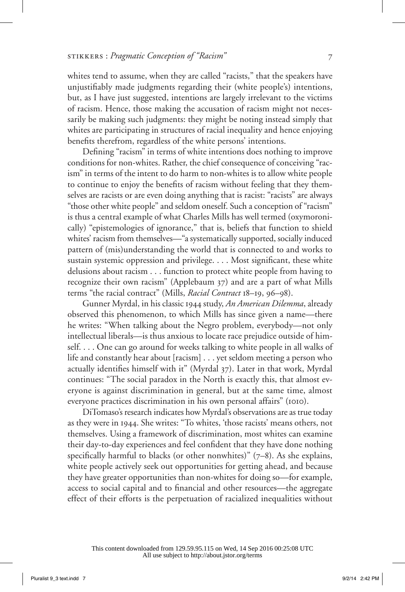whites tend to assume, when they are called "racists," that the speakers have unjustifiably made judgments regarding their (white people's) intentions, but, as I have just suggested, intentions are largely irrelevant to the victims of racism. Hence, those making the accusation of racism might not necessarily be making such judgments: they might be noting instead simply that whites are participating in structures of racial inequality and hence enjoying benefits therefrom, regardless of the white persons' intentions.

Defining "racism" in terms of white intentions does nothing to improve conditions for non-whites. Rather, the chief consequence of conceiving "racism" in terms of the intent to do harm to non-whites is to allow white people to continue to enjoy the benefits of racism without feeling that they themselves are racists or are even doing anything that is racist: "racists" are always "those other white people" and seldom oneself. Such a conception of "racism" is thus a central example of what Charles Mills has well termed (oxymoronically) "epistemologies of ignorance," that is, beliefs that function to shield whites' racism from themselves—"a systematically supported, socially induced pattern of (mis)understanding the world that is connected to and works to sustain systemic oppression and privilege. . . . Most significant, these white delusions about racism . . . function to protect white people from having to recognize their own racism" (Applebaum 37) and are a part of what Mills terms "the racial contract" (Mills, *Racial Contract* 18–19, 96–98).

Gunner Myrdal, in his classic 1944 study, *An American Dilemma*, already observed this phenomenon, to which Mills has since given a name—there he writes: "When talking about the Negro problem, everybody—not only intellectual liberals—is thus anxious to locate race prejudice outside of himself. . . . One can go around for weeks talking to white people in all walks of life and constantly hear about [racism] . . . yet seldom meeting a person who actually identifies himself with it" (Myrdal 37). Later in that work, Myrdal continues: "The social paradox in the North is exactly this, that almost everyone is against discrimination in general, but at the same time, almost everyone practices discrimination in his own personal affairs" (1010).

DiTomaso's research indicates how Myrdal's observations are as true today as they were in 1944. She writes: "To whites, 'those racists' means others, not themselves. Using a framework of discrimination, most whites can examine their day-to-day experiences and feel confident that they have done nothing specifically harmful to blacks (or other nonwhites)"  $(7-8)$ . As she explains, white people actively seek out opportunities for getting ahead, and because they have greater opportunities than non-whites for doing so—for example, access to social capital and to financial and other resources—the aggregate effect of their efforts is the perpetuation of racialized inequalities without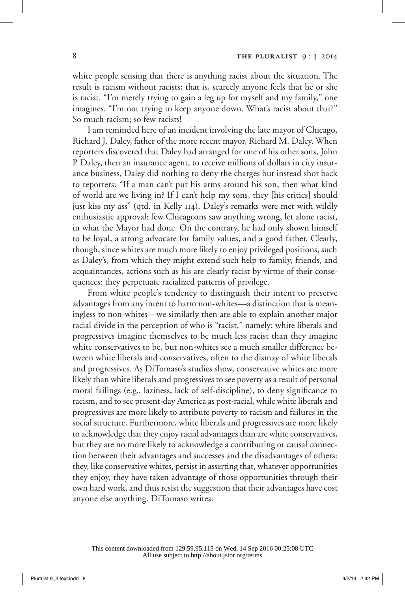white people sensing that there is anything racist about the situation. The result is racism without racists; that is, scarcely anyone feels that he or she is racist. "I'm merely trying to gain a leg up for myself and my family," one imagines. "I'm not trying to keep anyone down. What's racist about that?" So much racism; so few racists!

I am reminded here of an incident involving the late mayor of Chicago, Richard J. Daley, father of the more recent mayor, Richard M. Daley. When reporters discovered that Daley had arranged for one of his other sons, John P. Daley, then an insurance agent, to receive millions of dollars in city insurance business, Daley did nothing to deny the charges but instead shot back to reporters: "If a man can't put his arms around his son, then what kind of world are we living in? If I can't help my sons, they [his critics] should just kiss my ass" (qtd. in Kelly 114). Daley's remarks were met with wildly enthusiastic approval: few Chicagoans saw anything wrong, let alone racist, in what the Mayor had done. On the contrary, he had only shown himself to be loyal, a strong advocate for family values, and a good father. Clearly, though, since whites are much more likely to enjoy privileged positions, such as Daley's, from which they might extend such help to family, friends, and acquaintances, actions such as his are clearly racist by virtue of their consequences: they perpetuate racialized patterns of privilege.

From white people's tendency to distinguish their intent to preserve advantages from any intent to harm non-whites—a distinction that is meaningless to non-whites—we similarly then are able to explain another major racial divide in the perception of who is "racist," namely: white liberals and progressives imagine themselves to be much less racist than they imagine white conservatives to be, but non-whites see a much smaller difference between white liberals and conservatives, often to the dismay of white liberals and progressives. As DiTomaso's studies show, conservative whites are more likely than white liberals and progressives to see poverty as a result of personal moral failings (e.g., laziness, lack of self-discipline), to deny significance to racism, and to see present-day America as post-racial, while white liberals and progressives are more likely to attribute poverty to racism and failures in the social structure. Furthermore, white liberals and progressives are more likely to acknowledge that they enjoy racial advantages than are white conservatives, but they are no more likely to acknowledge a contributing or causal connection between their advantages and successes and the disadvantages of others: they, like conservative whites, persist in asserting that, whatever opportunities they enjoy, they have taken advantage of those opportunities through their own hard work, and thus resist the suggestion that their advantages have cost anyone else anything. DiTomaso writes: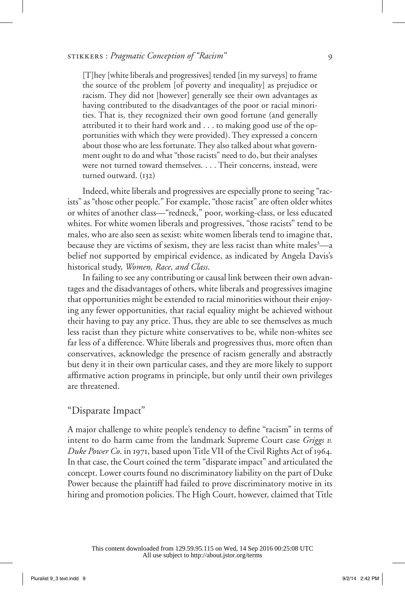[T]hey [white liberals and progressives] tended [in my surveys] to frame the source of the problem [of poverty and inequality] as prejudice or racism. They did not [however] generally see their own advantages as having contributed to the disadvantages of the poor or racial minorities. That is, they recognized their own good fortune (and generally attributed it to their hard work and . . . to making good use of the opportunities with which they were provided). They expressed a concern about those who are less fortunate. They also talked about what government ought to do and what "those racists" need to do, but their analyses were not turned toward themselves. . . . Their concerns, instead, were turned outward. (132)

Indeed, white liberals and progressives are especially prone to seeing "racists" as "those other people." For example, "those racist" are often older whites or whites of another class—"redneck," poor, working-class, or less educated whites. For white women liberals and progressives, "those racists" tend to be males, who are also seen as sexist: white women liberals tend to imagine that, because they are victims of sexism, they are less racist than white males $3$ —a belief not supported by empirical evidence, as indicated by Angela Davis's historical study, *Women, Race, and Class*.

In failing to see any contributing or causal link between their own advantages and the disadvantages of others, white liberals and progressives imagine that opportunities might be extended to racial minorities without their enjoying any fewer opportunities, that racial equality might be achieved without their having to pay any price. Thus, they are able to see themselves as much less racist than they picture white conservatives to be, while non-whites see far less of a difference. White liberals and progressives thus, more often than conservatives, acknowledge the presence of racism generally and abstractly but deny it in their own particular cases, and they are more likely to support affirmative action programs in principle, but only until their own privileges are threatened.

### "Disparate Impact"

A major challenge to white people's tendency to define "racism" in terms of intent to do harm came from the landmark Supreme Court case *Griggs v. Duke Power Co*. in 1971, based upon Title VII of the Civil Rights Act of 1964. In that case, the Court coined the term "disparate impact" and articulated the concept. Lower courts found no discriminatory liability on the part of Duke Power because the plaintiff had failed to prove discriminatory motive in its hiring and promotion policies. The High Court, however, claimed that Title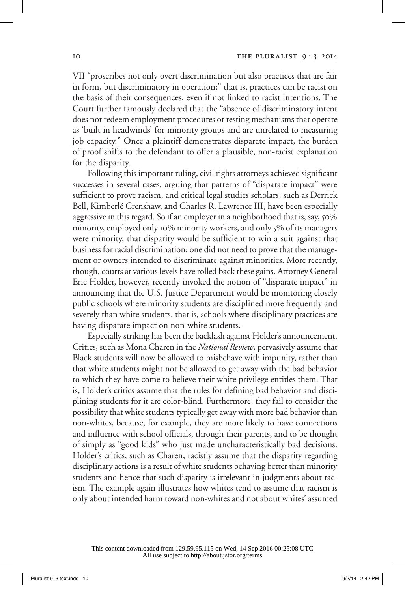VII "proscribes not only overt discrimination but also practices that are fair in form, but discriminatory in operation;" that is, practices can be racist on the basis of their consequences, even if not linked to racist intentions. The Court further famously declared that the "absence of discriminatory intent does not redeem employment procedures or testing mechanisms that operate as 'built in headwinds' for minority groups and are unrelated to measuring job capacity." Once a plaintiff demonstrates disparate impact, the burden of proof shifts to the defendant to offer a plausible, non-racist explanation for the disparity.

Following this important ruling, civil rights attorneys achieved significant successes in several cases, arguing that patterns of "disparate impact" were sufficient to prove racism, and critical legal studies scholars, such as Derrick Bell, Kimberlé Crenshaw, and Charles R. Lawrence III, have been especially aggressive in this regard. So if an employer in a neighborhood that is, say, 50% minority, employed only 10% minority workers, and only 5% of its managers were minority, that disparity would be sufficient to win a suit against that business for racial discrimination: one did not need to prove that the management or owners intended to discriminate against minorities. More recently, though, courts at various levels have rolled back these gains. Attorney General Eric Holder, however, recently invoked the notion of "disparate impact" in announcing that the U.S. Justice Department would be monitoring closely public schools where minority students are disciplined more frequently and severely than white students, that is, schools where disciplinary practices are having disparate impact on non-white students.

Especially striking has been the backlash against Holder's announcement. Critics, such as Mona Charen in the *National Review*, pervasively assume that Black students will now be allowed to misbehave with impunity, rather than that white students might not be allowed to get away with the bad behavior to which they have come to believe their white privilege entitles them. That is, Holder's critics assume that the rules for defining bad behavior and disciplining students for it are color-blind. Furthermore, they fail to consider the possibility that white students typically get away with more bad behavior than non-whites, because, for example, they are more likely to have connections and influence with school officials, through their parents, and to be thought of simply as "good kids" who just made uncharacteristically bad decisions. Holder's critics, such as Charen, racistly assume that the disparity regarding disciplinary actions is a result of white students behaving better than minority students and hence that such disparity is irrelevant in judgments about racism. The example again illustrates how whites tend to assume that racism is only about intended harm toward non-whites and not about whites' assumed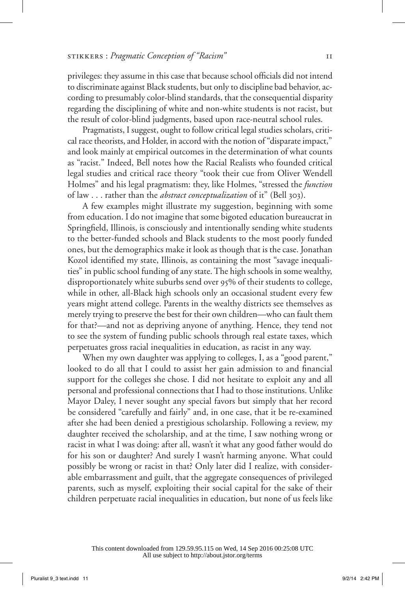privileges: they assume in this case that because school officials did not intend to discriminate against Black students, but only to discipline bad behavior, according to presumably color-blind standards, that the consequential disparity regarding the disciplining of white and non-white students is not racist, but the result of color-blind judgments, based upon race-neutral school rules.

Pragmatists, I suggest, ought to follow critical legal studies scholars, critical race theorists, and Holder, in accord with the notion of "disparate impact," and look mainly at empirical outcomes in the determination of what counts as "racist." Indeed, Bell notes how the Racial Realists who founded critical legal studies and critical race theory "took their cue from Oliver Wendell Holmes" and his legal pragmatism: they, like Holmes, "stressed the *function* of law . . . rather than the *abstract conceptualization* of it" (Bell 303).

A few examples might illustrate my suggestion, beginning with some from education. I do not imagine that some bigoted education bureaucrat in Springfield, Illinois, is consciously and intentionally sending white students to the better-funded schools and Black students to the most poorly funded ones, but the demographics make it look as though that is the case. Jonathan Kozol identified my state, Illinois, as containing the most "savage inequalities" in public school funding of any state. The high schools in some wealthy, disproportionately white suburbs send over 95% of their students to college, while in other, all-Black high schools only an occasional student every few years might attend college. Parents in the wealthy districts see themselves as merely trying to preserve the best for their own children—who can fault them for that?—and not as depriving anyone of anything. Hence, they tend not to see the system of funding public schools through real estate taxes, which perpetuates gross racial inequalities in education, as racist in any way.

When my own daughter was applying to colleges, I, as a "good parent," looked to do all that I could to assist her gain admission to and financial support for the colleges she chose. I did not hesitate to exploit any and all personal and professional connections that I had to those institutions. Unlike Mayor Daley, I never sought any special favors but simply that her record be considered "carefully and fairly" and, in one case, that it be re-examined after she had been denied a prestigious scholarship. Following a review, my daughter received the scholarship, and at the time, I saw nothing wrong or racist in what I was doing: after all, wasn't it what any good father would do for his son or daughter? And surely I wasn't harming anyone. What could possibly be wrong or racist in that? Only later did I realize, with considerable embarrassment and guilt, that the aggregate consequences of privileged parents, such as myself, exploiting their social capital for the sake of their children perpetuate racial inequalities in education, but none of us feels like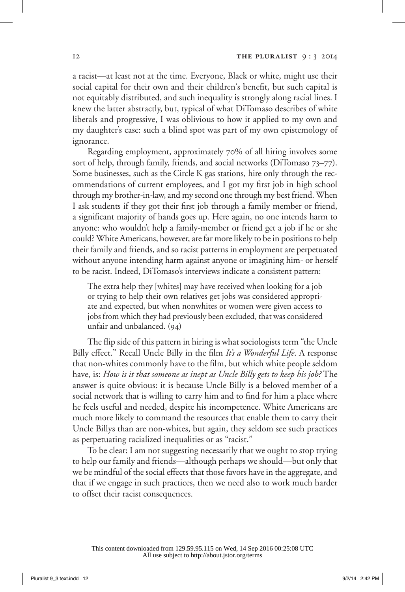a racist—at least not at the time. Everyone, Black or white, might use their social capital for their own and their children's benefit, but such capital is not equitably distributed, and such inequality is strongly along racial lines. I knew the latter abstractly, but, typical of what DiTomaso describes of white liberals and progressive, I was oblivious to how it applied to my own and my daughter's case: such a blind spot was part of my own epistemology of ignorance.

Regarding employment, approximately 70% of all hiring involves some sort of help, through family, friends, and social networks (DiTomaso 73–77). Some businesses, such as the Circle K gas stations, hire only through the recommendations of current employees, and I got my first job in high school through my brother-in-law, and my second one through my best friend. When I ask students if they got their first job through a family member or friend, a significant majority of hands goes up. Here again, no one intends harm to anyone: who wouldn't help a family-member or friend get a job if he or she could? White Americans, however, are far more likely to be in positions to help their family and friends, and so racist patterns in employment are perpetuated without anyone intending harm against anyone or imagining him- or herself to be racist. Indeed, DiTomaso's interviews indicate a consistent pattern:

The extra help they [whites] may have received when looking for a job or trying to help their own relatives get jobs was considered appropriate and expected, but when nonwhites or women were given access to jobs from which they had previously been excluded, that was considered unfair and unbalanced. (94)

The flip side of this pattern in hiring is what sociologists term "the Uncle Billy effect." Recall Uncle Billy in the film *It's a Wonderful Life*. A response that non-whites commonly have to the film, but which white people seldom have, is: *How is it that someone as inept as Uncle Billy gets to keep his job?* The answer is quite obvious: it is because Uncle Billy is a beloved member of a social network that is willing to carry him and to find for him a place where he feels useful and needed, despite his incompetence. White Americans are much more likely to command the resources that enable them to carry their Uncle Billys than are non-whites, but again, they seldom see such practices as perpetuating racialized inequalities or as "racist."

To be clear: I am not suggesting necessarily that we ought to stop trying to help our family and friends—although perhaps we should—but only that we be mindful of the social effects that those favors have in the aggregate, and that if we engage in such practices, then we need also to work much harder to offset their racist consequences.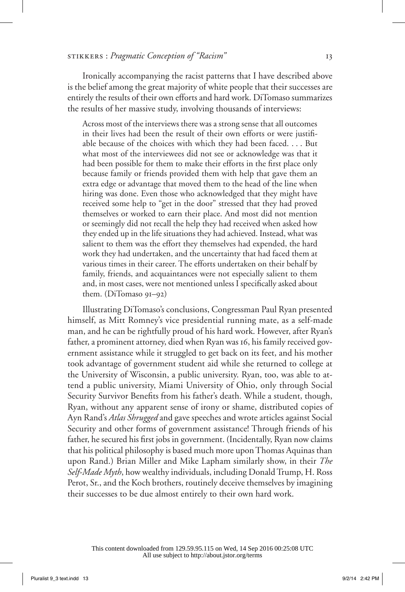Ironically accompanying the racist patterns that I have described above is the belief among the great majority of white people that their successes are entirely the results of their own efforts and hard work. DiTomaso summarizes the results of her massive study, involving thousands of interviews:

Across most of the interviews there was a strong sense that all outcomes in their lives had been the result of their own efforts or were justifiable because of the choices with which they had been faced. . . . But what most of the interviewees did not see or acknowledge was that it had been possible for them to make their efforts in the first place only because family or friends provided them with help that gave them an extra edge or advantage that moved them to the head of the line when hiring was done. Even those who acknowledged that they might have received some help to "get in the door" stressed that they had proved themselves or worked to earn their place. And most did not mention or seemingly did not recall the help they had received when asked how they ended up in the life situations they had achieved. Instead, what was salient to them was the effort they themselves had expended, the hard work they had undertaken, and the uncertainty that had faced them at various times in their career. The efforts undertaken on their behalf by family, friends, and acquaintances were not especially salient to them and, in most cases, were not mentioned unless I specifically asked about them. (DiTomaso 91–92)

Illustrating DiTomaso's conclusions, Congressman Paul Ryan presented himself, as Mitt Romney's vice presidential running mate, as a self-made man, and he can be rightfully proud of his hard work. However, after Ryan's father, a prominent attorney, died when Ryan was 16, his family received government assistance while it struggled to get back on its feet, and his mother took advantage of government student aid while she returned to college at the University of Wisconsin, a public university. Ryan, too, was able to attend a public university, Miami University of Ohio, only through Social Security Survivor Benefits from his father's death. While a student, though, Ryan, without any apparent sense of irony or shame, distributed copies of Ayn Rand's *Atlas Shrugged* and gave speeches and wrote articles against Social Security and other forms of government assistance! Through friends of his father, he secured his first jobs in government. (Incidentally, Ryan now claims that his political philosophy is based much more upon Thomas Aquinas than upon Rand.) Brian Miller and Mike Lapham similarly show, in their *The Self-Made Myth*, how wealthy individuals, including Donald Trump, H. Ross Perot, Sr., and the Koch brothers, routinely deceive themselves by imagining their successes to be due almost entirely to their own hard work.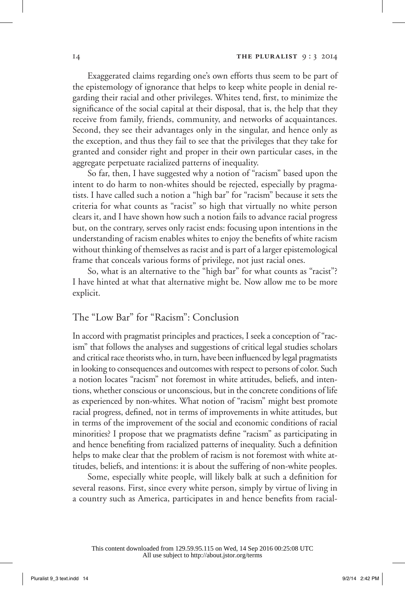Exaggerated claims regarding one's own efforts thus seem to be part of the epistemology of ignorance that helps to keep white people in denial regarding their racial and other privileges. Whites tend, first, to minimize the significance of the social capital at their disposal, that is, the help that they receive from family, friends, community, and networks of acquaintances. Second, they see their advantages only in the singular, and hence only as the exception, and thus they fail to see that the privileges that they take for granted and consider right and proper in their own particular cases, in the aggregate perpetuate racialized patterns of inequality.

So far, then, I have suggested why a notion of "racism" based upon the intent to do harm to non-whites should be rejected, especially by pragmatists. I have called such a notion a "high bar" for "racism" because it sets the criteria for what counts as "racist" so high that virtually no white person clears it, and I have shown how such a notion fails to advance racial progress but, on the contrary, serves only racist ends: focusing upon intentions in the understanding of racism enables whites to enjoy the benefits of white racism without thinking of themselves as racist and is part of a larger epistemological frame that conceals various forms of privilege, not just racial ones.

So, what is an alternative to the "high bar" for what counts as "racist"? I have hinted at what that alternative might be. Now allow me to be more explicit.

## The "Low Bar" for "Racism": Conclusion

In accord with pragmatist principles and practices, I seek a conception of "racism" that follows the analyses and suggestions of critical legal studies scholars and critical race theorists who, in turn, have been influenced by legal pragmatists in looking to consequences and outcomes with respect to persons of color. Such a notion locates "racism" not foremost in white attitudes, beliefs, and intentions, whether conscious or unconscious, but in the concrete conditions of life as experienced by non-whites. What notion of "racism" might best promote racial progress, defined, not in terms of improvements in white attitudes, but in terms of the improvement of the social and economic conditions of racial minorities? I propose that we pragmatists define "racism" as participating in and hence benefiting from racialized patterns of inequality. Such a definition helps to make clear that the problem of racism is not foremost with white attitudes, beliefs, and intentions: it is about the suffering of non-white peoples.

Some, especially white people, will likely balk at such a definition for several reasons. First, since every white person, simply by virtue of living in a country such as America, participates in and hence benefits from racial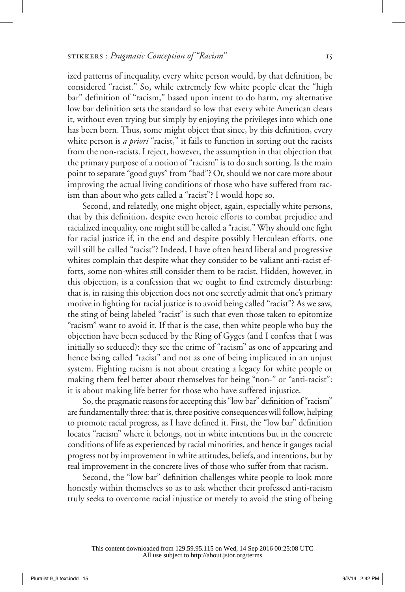ized patterns of inequality, every white person would, by that definition, be considered "racist." So, while extremely few white people clear the "high bar" definition of "racism," based upon intent to do harm, my alternative low bar definition sets the standard so low that every white American clears it, without even trying but simply by enjoying the privileges into which one has been born. Thus, some might object that since, by this definition, every white person is *a priori* "racist," it fails to function in sorting out the racists from the non-racists. I reject, however, the assumption in that objection that the primary purpose of a notion of "racism" is to do such sorting. Is the main point to separate "good guys" from "bad"? Or, should we not care more about improving the actual living conditions of those who have suffered from racism than about who gets called a "racist"? I would hope so.

Second, and relatedly, one might object, again, especially white persons, that by this definition, despite even heroic efforts to combat prejudice and racialized inequality, one might still be called a "racist." Why should one fight for racial justice if, in the end and despite possibly Herculean efforts, one will still be called "racist"? Indeed, I have often heard liberal and progressive whites complain that despite what they consider to be valiant anti-racist efforts, some non-whites still consider them to be racist. Hidden, however, in this objection, is a confession that we ought to find extremely disturbing: that is, in raising this objection does not one secretly admit that one's primary motive in fighting for racial justice is to avoid being called "racist"? As we saw, the sting of being labeled "racist" is such that even those taken to epitomize "racism" want to avoid it. If that is the case, then white people who buy the objection have been seduced by the Ring of Gyges (and I confess that I was initially so seduced): they see the crime of "racism" as one of appearing and hence being called "racist" and not as one of being implicated in an unjust system. Fighting racism is not about creating a legacy for white people or making them feel better about themselves for being "non-" or "anti-racist": it is about making life better for those who have suffered injustice.

So, the pragmatic reasons for accepting this "low bar" definition of "racism" are fundamentally three: that is, three positive consequences will follow, helping to promote racial progress, as I have defined it. First, the "low bar" definition locates "racism" where it belongs, not in white intentions but in the concrete conditions of life as experienced by racial minorities, and hence it gauges racial progress not by improvement in white attitudes, beliefs, and intentions, but by real improvement in the concrete lives of those who suffer from that racism.

Second, the "low bar" definition challenges white people to look more honestly within themselves so as to ask whether their professed anti-racism truly seeks to overcome racial injustice or merely to avoid the sting of being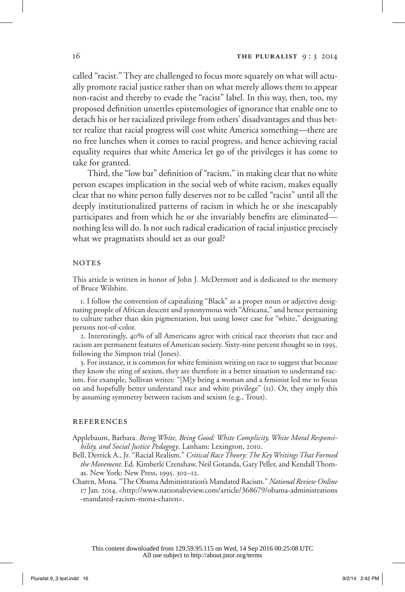called "racist." They are challenged to focus more squarely on what will actually promote racial justice rather than on what merely allows them to appear non-racist and thereby to evade the "racist" label. In this way, then, too, my proposed definition unsettles epistemologies of ignorance that enable one to detach his or her racialized privilege from others' disadvantages and thus better realize that racial progress will cost white America something—there are no free lunches when it comes to racial progress, and hence achieving racial equality requires that white America let go of the privileges it has come to take for granted.

Third, the "low bar" definition of "racism," in making clear that no white person escapes implication in the social web of white racism, makes equally clear that no white person fully deserves not to be called "racist" until all the deeply institutionalized patterns of racism in which he or she inescapably participates and from which he or she invariably benefits are eliminated nothing less will do. Is not such radical eradication of racial injustice precisely what we pragmatists should set as our goal?

#### **NOTES**

This article is written in honor of John J. McDermott and is dedicated to the memory of Bruce Wilshire.

1. I follow the convention of capitalizing "Black" as a proper noun or adjective designating people of African descent and synonymous with "Africana," and hence pertaining to culture rather than skin pigmentation, but using lower case for "white," designating persons not-of-color.

2. Interestingly, 40% of all Americans agree with critical race theorists that race and racism are permanent features of American society. Sixty-nine percent thought so in 1995, following the Simpson trial (Jones).

3. For instance, it is common for white feminists writing on race to suggest that because they know the sting of sexism, they are therefore in a better situation to understand racism. For example, Sullivan writes: "[M]y being a woman and a feminist led me to focus on and hopefully better understand race and white privilege" (11). Or, they imply this by assuming symmetry between racism and sexism (e.g., Trout).

#### references

- Applebaum, Barbara. *Being White, Being Good: White Complicity, White Moral Responsibility, and Social Justice Pedagogy*. Lanham: Lexington, 2010.
- Bell, Derrick A., Jr. "Racial Realism." *Critical Race Theory: The Key Writings That Formed the Movement*. Ed. Kimberlé Crenshaw, Neil Gotanda, Gary Peller, and Kendall Thomas. New York: New Press, 1995. 302–12.
- Charen, Mona. "The Obama Administration's Mandated Racism." *National Review Online* 17 Jan. 2014. <http://www.nationalreview.com/article/368679/obama-administrations -mandated-racism-mona-charen>.